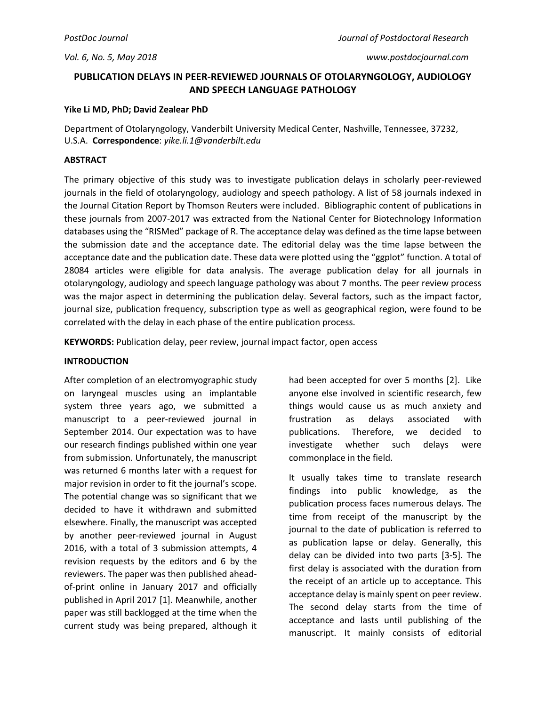## **PUBLICATION DELAYS IN PEER-REVIEWED JOURNALS OF OTOLARYNGOLOGY, AUDIOLOGY AND SPEECH LANGUAGE PATHOLOGY**

### **Yike Li MD, PhD; David Zealear PhD**

Department of Otolaryngology, Vanderbilt University Medical Center, Nashville, Tennessee, 37232, U.S.A. **Correspondence**: *yike.li.1@vanderbilt.edu*

## **ABSTRACT**

The primary objective of this study was to investigate publication delays in scholarly peer‐reviewed journals in the field of otolaryngology, audiology and speech pathology. A list of 58 journals indexed in the Journal Citation Report by Thomson Reuters were included. Bibliographic content of publications in these journals from 2007-2017 was extracted from the National Center for Biotechnology Information databases using the "RISMed" package of R. The acceptance delay was defined as the time lapse between the submission date and the acceptance date. The editorial delay was the time lapse between the acceptance date and the publication date. These data were plotted using the "ggplot" function. A total of 28084 articles were eligible for data analysis. The average publication delay for all journals in otolaryngology, audiology and speech language pathology was about 7 months. The peer review process was the major aspect in determining the publication delay. Several factors, such as the impact factor, journal size, publication frequency, subscription type as well as geographical region, were found to be correlated with the delay in each phase of the entire publication process.

**KEYWORDS:** Publication delay, peer review, journal impact factor, open access

### **INTRODUCTION**

After completion of an electromyographic study on laryngeal muscles using an implantable system three years ago, we submitted a manuscript to a peer-reviewed journal in September 2014. Our expectation was to have our research findings published within one year from submission. Unfortunately, the manuscript was returned 6 months later with a request for major revision in order to fit the journal's scope. The potential change was so significant that we decided to have it withdrawn and submitted elsewhere. Finally, the manuscript was accepted by another peer-reviewed journal in August 2016, with a total of 3 submission attempts, 4 revision requests by the editors and 6 by the reviewers. The paper was then published aheadof-print online in January 2017 and officially published in April 2017 [1]. Meanwhile, another paper was still backlogged at the time when the current study was being prepared, although it

had been accepted for over 5 months [2]. Like anyone else involved in scientific research, few things would cause us as much anxiety and frustration as delays associated with publications. Therefore, we decided to investigate whether such delays were commonplace in the field.

It usually takes time to translate research findings into public knowledge, as the publication process faces numerous delays. The time from receipt of the manuscript by the journal to the date of publication is referred to as publication lapse or delay. Generally, this delay can be divided into two parts [3-5]. The first delay is associated with the duration from the receipt of an article up to acceptance. This acceptance delay is mainly spent on peer review. The second delay starts from the time of acceptance and lasts until publishing of the manuscript. It mainly consists of editorial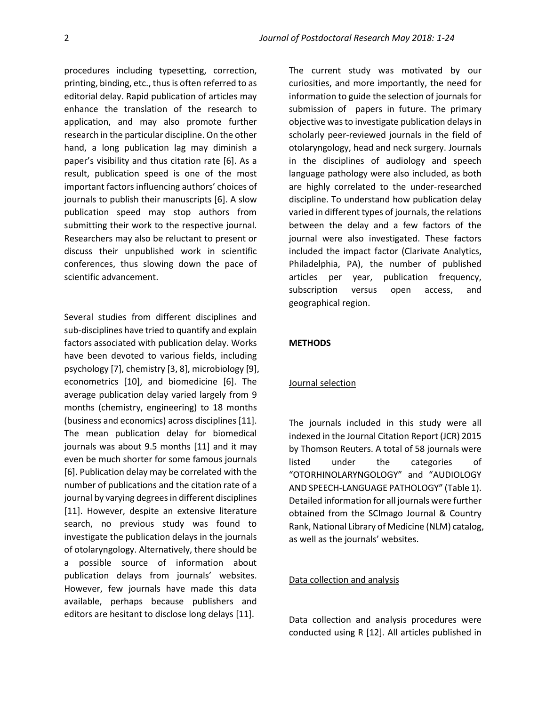procedures including typesetting, correction, printing, binding, etc., thus is often referred to as editorial delay. Rapid publication of articles may enhance the translation of the research to application, and may also promote further research in the particular discipline. On the other hand, a long publication lag may diminish a paper's visibility and thus citation rate [6]. As a result, publication speed is one of the most important factors influencing authors' choices of journals to publish their manuscripts [6]. A slow publication speed may stop authors from submitting their work to the respective journal. Researchers may also be reluctant to present or discuss their unpublished work in scientific conferences, thus slowing down the pace of scientific advancement.

Several studies from different disciplines and sub-disciplines have tried to quantify and explain factors associated with publication delay. Works have been devoted to various fields, including psychology [7], chemistry [3, 8], microbiology [9], econometrics [10], and biomedicine [6]. The average publication delay varied largely from 9 months (chemistry, engineering) to 18 months (business and economics) across disciplines [11]. The mean publication delay for biomedical journals was about 9.5 months [11] and it may even be much shorter for some famous journals [6]. Publication delay may be correlated with the number of publications and the citation rate of a journal by varying degrees in different disciplines [11]. However, despite an extensive literature search, no previous study was found to investigate the publication delays in the journals of otolaryngology. Alternatively, there should be a possible source of information about publication delays from journals' websites. However, few journals have made this data available, perhaps because publishers and editors are hesitant to disclose long delays [11].

The current study was motivated by our curiosities, and more importantly, the need for information to guide the selection of journals for submission of papers in future. The primary objective was to investigate publication delays in scholarly peer‐reviewed journals in the field of otolaryngology, head and neck surgery. Journals in the disciplines of audiology and speech language pathology were also included, as both are highly correlated to the under-researched discipline. To understand how publication delay varied in different types of journals, the relations between the delay and a few factors of the journal were also investigated. These factors included the impact factor (Clarivate Analytics, Philadelphia, PA), the number of published articles per year, publication frequency, subscription versus open access, and geographical region.

#### **METHODS**

#### Journal selection

The journals included in this study were all indexed in the Journal Citation Report (JCR) 2015 by Thomson Reuters. A total of 58 journals were listed under the categories of "OTORHINOLARYNGOLOGY" and "AUDIOLOGY AND SPEECH-LANGUAGE PATHOLOGY" (Table 1). Detailed information for all journals were further obtained from the SCImago Journal & Country Rank, National Library of Medicine (NLM) catalog, as well as the journals' websites.

#### Data collection and analysis

Data collection and analysis procedures were conducted using R [12]. All articles published in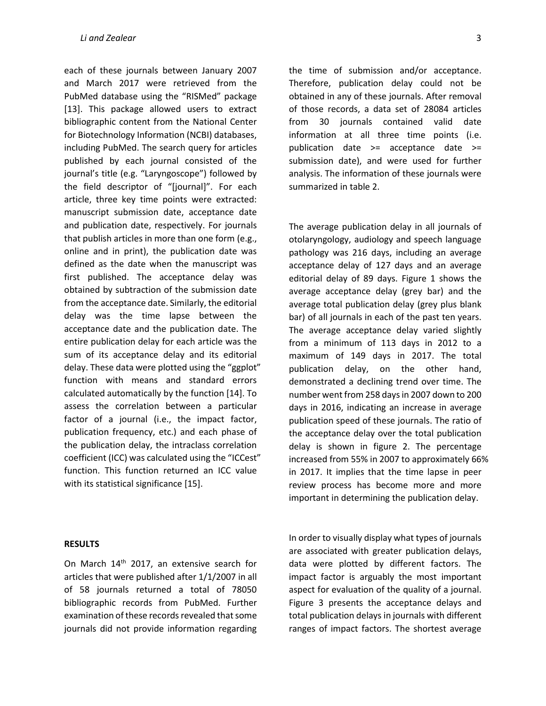each of these journals between January 2007 and March 2017 were retrieved from the PubMed database using the "RISMed" package [13]. This package allowed users to extract bibliographic content from the National Center for Biotechnology Information (NCBI) databases, including PubMed. The search query for articles published by each journal consisted of the journal's title (e.g. "Laryngoscope") followed by the field descriptor of "[journal]". For each article, three key time points were extracted: manuscript submission date, acceptance date and publication date, respectively. For journals that publish articles in more than one form (e.g., online and in print), the publication date was defined as the date when the manuscript was first published. The acceptance delay was obtained by subtraction of the submission date from the acceptance date. Similarly, the editorial delay was the time lapse between the acceptance date and the publication date. The entire publication delay for each article was the sum of its acceptance delay and its editorial delay. These data were plotted using the "ggplot" function with means and standard errors calculated automatically by the function [14]. To assess the correlation between a particular factor of a journal (i.e., the impact factor, publication frequency, etc.) and each phase of the publication delay, the intraclass correlation coefficient (ICC) was calculated using the "ICCest" function. This function returned an ICC value with its statistical significance [15].

the time of submission and/or acceptance. Therefore, publication delay could not be obtained in any of these journals. After removal of those records, a data set of 28084 articles from 30 journals contained valid date information at all three time points (i.e. publication date >= acceptance date >= submission date), and were used for further analysis. The information of these journals were summarized in table 2.

The average publication delay in all journals of otolaryngology, audiology and speech language pathology was 216 days, including an average acceptance delay of 127 days and an average editorial delay of 89 days. Figure 1 shows the average acceptance delay (grey bar) and the average total publication delay (grey plus blank bar) of all journals in each of the past ten years. The average acceptance delay varied slightly from a minimum of 113 days in 2012 to a maximum of 149 days in 2017. The total publication delay, on the other hand, demonstrated a declining trend over time. The number went from 258 days in 2007 down to 200 days in 2016, indicating an increase in average publication speed of these journals. The ratio of the acceptance delay over the total publication delay is shown in figure 2. The percentage increased from 55% in 2007 to approximately 66% in 2017. It implies that the time lapse in peer review process has become more and more important in determining the publication delay.

#### **RESULTS**

On March 14<sup>th</sup> 2017, an extensive search for articles that were published after 1/1/2007 in all of 58 journals returned a total of 78050 bibliographic records from PubMed. Further examination of these records revealed that some journals did not provide information regarding In order to visually display what types of journals are associated with greater publication delays, data were plotted by different factors. The impact factor is arguably the most important aspect for evaluation of the quality of a journal. Figure 3 presents the acceptance delays and total publication delays in journals with different ranges of impact factors. The shortest average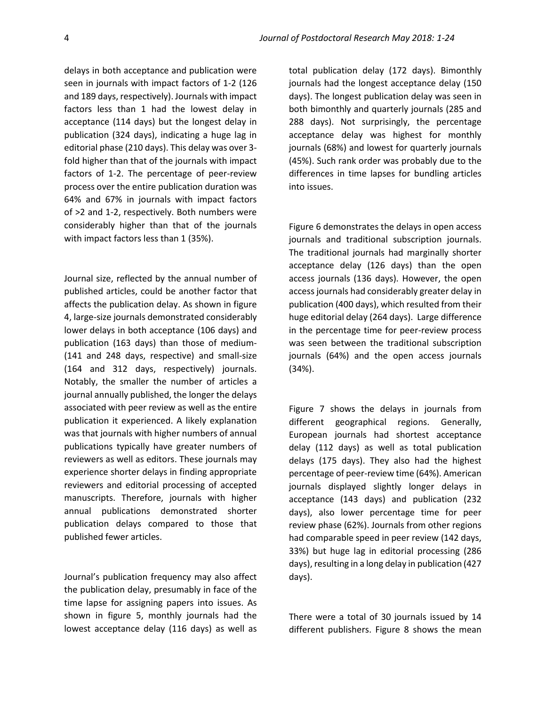delays in both acceptance and publication were seen in journals with impact factors of 1-2 (126 and 189 days, respectively). Journals with impact factors less than 1 had the lowest delay in acceptance (114 days) but the longest delay in publication (324 days), indicating a huge lag in editorial phase (210 days). This delay was over 3 fold higher than that of the journals with impact factors of 1-2. The percentage of peer-review process over the entire publication duration was 64% and 67% in journals with impact factors of >2 and 1-2, respectively. Both numbers were considerably higher than that of the journals with impact factors less than 1 (35%).

Journal size, reflected by the annual number of published articles, could be another factor that affects the publication delay. As shown in figure 4, large-size journals demonstrated considerably lower delays in both acceptance (106 days) and publication (163 days) than those of medium- (141 and 248 days, respective) and small-size (164 and 312 days, respectively) journals. Notably, the smaller the number of articles a journal annually published, the longer the delays associated with peer review as well as the entire publication it experienced. A likely explanation was that journals with higher numbers of annual publications typically have greater numbers of reviewers as well as editors. These journals may experience shorter delays in finding appropriate reviewers and editorial processing of accepted manuscripts. Therefore, journals with higher annual publications demonstrated shorter publication delays compared to those that published fewer articles.

Journal's publication frequency may also affect the publication delay, presumably in face of the time lapse for assigning papers into issues. As shown in figure 5, monthly journals had the lowest acceptance delay (116 days) as well as

total publication delay (172 days). Bimonthly journals had the longest acceptance delay (150 days). The longest publication delay was seen in both bimonthly and quarterly journals (285 and 288 days). Not surprisingly, the percentage acceptance delay was highest for monthly journals (68%) and lowest for quarterly journals (45%). Such rank order was probably due to the differences in time lapses for bundling articles into issues.

Figure 6 demonstrates the delays in open access journals and traditional subscription journals. The traditional journals had marginally shorter acceptance delay (126 days) than the open access journals (136 days). However, the open access journals had considerably greater delay in publication (400 days), which resulted from their huge editorial delay (264 days). Large difference in the percentage time for peer-review process was seen between the traditional subscription journals (64%) and the open access journals (34%).

Figure 7 shows the delays in journals from different geographical regions. Generally, European journals had shortest acceptance delay (112 days) as well as total publication delays (175 days). They also had the highest percentage of peer-review time (64%). American journals displayed slightly longer delays in acceptance (143 days) and publication (232 days), also lower percentage time for peer review phase (62%). Journals from other regions had comparable speed in peer review (142 days, 33%) but huge lag in editorial processing (286 days), resulting in a long delay in publication (427 days).

There were a total of 30 journals issued by 14 different publishers. Figure 8 shows the mean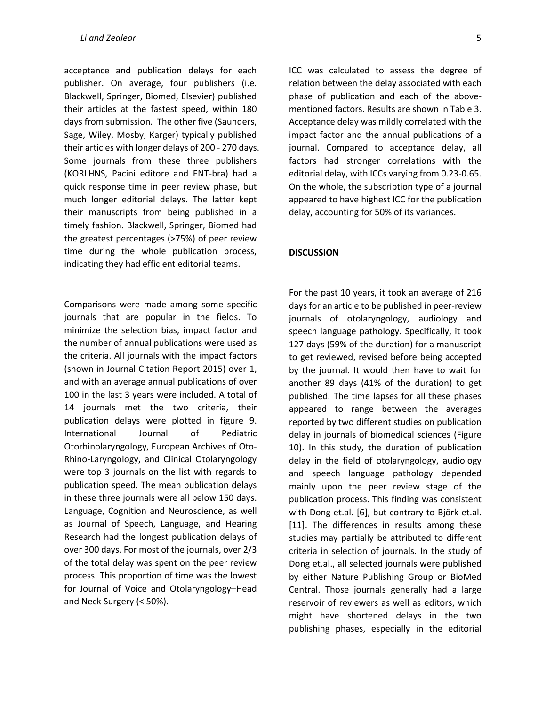acceptance and publication delays for each publisher. On average, four publishers (i.e. Blackwell, Springer, Biomed, Elsevier) published their articles at the fastest speed, within 180 days from submission. The other five (Saunders, Sage, Wiley, Mosby, Karger) typically published their articles with longer delays of 200 - 270 days. Some journals from these three publishers (KORLHNS, Pacini editore and ENT-bra) had a quick response time in peer review phase, but much longer editorial delays. The latter kept their manuscripts from being published in a timely fashion. Blackwell, Springer, Biomed had the greatest percentages (>75%) of peer review time during the whole publication process, indicating they had efficient editorial teams.

Comparisons were made among some specific journals that are popular in the fields. To minimize the selection bias, impact factor and the number of annual publications were used as the criteria. All journals with the impact factors (shown in Journal Citation Report 2015) over 1, and with an average annual publications of over 100 in the last 3 years were included. A total of 14 journals met the two criteria, their publication delays were plotted in figure 9. International Journal of Pediatric Otorhinolaryngology, European Archives of Oto-Rhino-Laryngology, and Clinical Otolaryngology were top 3 journals on the list with regards to publication speed. The mean publication delays in these three journals were all below 150 days. Language, Cognition and Neuroscience, as well as Journal of Speech, Language, and Hearing Research had the longest publication delays of over 300 days. For most of the journals, over 2/3 of the total delay was spent on the peer review process. This proportion of time was the lowest for Journal of Voice and Otolaryngology–Head and Neck Surgery (< 50%).

ICC was calculated to assess the degree of relation between the delay associated with each phase of publication and each of the abovementioned factors. Results are shown in Table 3. Acceptance delay was mildly correlated with the impact factor and the annual publications of a journal. Compared to acceptance delay, all factors had stronger correlations with the editorial delay, with ICCs varying from 0.23-0.65. On the whole, the subscription type of a journal appeared to have highest ICC for the publication delay, accounting for 50% of its variances.

#### **DISCUSSION**

For the past 10 years, it took an average of 216 days for an article to be published in peer-review journals of otolaryngology, audiology and speech language pathology. Specifically, it took 127 days (59% of the duration) for a manuscript to get reviewed, revised before being accepted by the journal. It would then have to wait for another 89 days (41% of the duration) to get published. The time lapses for all these phases appeared to range between the averages reported by two different studies on publication delay in journals of biomedical sciences (Figure 10). In this study, the duration of publication delay in the field of otolaryngology, audiology and speech language pathology depended mainly upon the peer review stage of the publication process. This finding was consistent with Dong et.al. [6], but contrary to Björk et.al. [11]. The differences in results among these studies may partially be attributed to different criteria in selection of journals. In the study of Dong et.al., all selected journals were published by either Nature Publishing Group or BioMed Central. Those journals generally had a large reservoir of reviewers as well as editors, which might have shortened delays in the two publishing phases, especially in the editorial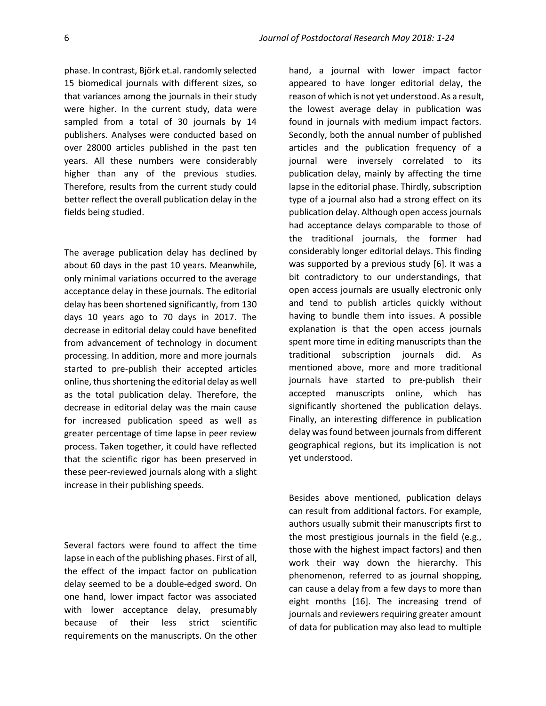phase. In contrast, Björk et.al. randomly selected 15 biomedical journals with different sizes, so that variances among the journals in their study were higher. In the current study, data were sampled from a total of 30 journals by 14 publishers. Analyses were conducted based on over 28000 articles published in the past ten years. All these numbers were considerably higher than any of the previous studies. Therefore, results from the current study could better reflect the overall publication delay in the fields being studied.

The average publication delay has declined by about 60 days in the past 10 years. Meanwhile, only minimal variations occurred to the average acceptance delay in these journals. The editorial delay has been shortened significantly, from 130 days 10 years ago to 70 days in 2017. The decrease in editorial delay could have benefited from advancement of technology in document processing. In addition, more and more journals started to pre-publish their accepted articles online, thus shortening the editorial delay as well as the total publication delay. Therefore, the decrease in editorial delay was the main cause for increased publication speed as well as greater percentage of time lapse in peer review process. Taken together, it could have reflected that the scientific rigor has been preserved in these peer-reviewed journals along with a slight increase in their publishing speeds.

Several factors were found to affect the time lapse in each of the publishing phases. First of all, the effect of the impact factor on publication delay seemed to be a double-edged sword. On one hand, lower impact factor was associated with lower acceptance delay, presumably because of their less strict scientific requirements on the manuscripts. On the other

hand, a journal with lower impact factor appeared to have longer editorial delay, the reason of which is not yet understood. As a result, the lowest average delay in publication was found in journals with medium impact factors. Secondly, both the annual number of published articles and the publication frequency of a journal were inversely correlated to its publication delay, mainly by affecting the time lapse in the editorial phase. Thirdly, subscription type of a journal also had a strong effect on its publication delay. Although open access journals had acceptance delays comparable to those of the traditional journals, the former had considerably longer editorial delays. This finding was supported by a previous study [6]. It was a bit contradictory to our understandings, that open access journals are usually electronic only and tend to publish articles quickly without having to bundle them into issues. A possible explanation is that the open access journals spent more time in editing manuscripts than the traditional subscription journals did. As mentioned above, more and more traditional journals have started to pre-publish their accepted manuscripts online, which has significantly shortened the publication delays. Finally, an interesting difference in publication delay was found between journals from different geographical regions, but its implication is not yet understood.

Besides above mentioned, publication delays can result from additional factors. For example, authors usually submit their manuscripts first to the most prestigious journals in the field (e.g., those with the highest impact factors) and then work their way down the hierarchy. This phenomenon, referred to as journal shopping, can cause a delay from a few days to more than eight months [16]. The increasing trend of journals and reviewers requiring greater amount of data for publication may also lead to multiple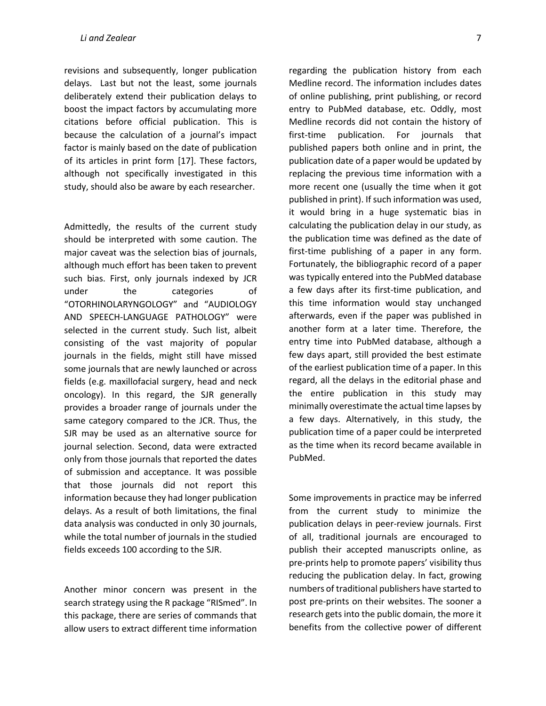revisions and subsequently, longer publication delays. Last but not the least, some journals deliberately extend their publication delays to boost the impact factors by accumulating more citations before official publication. This is because the calculation of a journal's impact factor is mainly based on the date of publication of its articles in print form [17]. These factors, although not specifically investigated in this study, should also be aware by each researcher.

Admittedly, the results of the current study should be interpreted with some caution. The major caveat was the selection bias of journals, although much effort has been taken to prevent such bias. First, only journals indexed by JCR under the categories of "OTORHINOLARYNGOLOGY" and "AUDIOLOGY AND SPEECH-LANGUAGE PATHOLOGY" were selected in the current study. Such list, albeit consisting of the vast majority of popular journals in the fields, might still have missed some journals that are newly launched or across fields (e.g. maxillofacial surgery, head and neck oncology). In this regard, the SJR generally provides a broader range of journals under the same category compared to the JCR. Thus, the SJR may be used as an alternative source for journal selection. Second, data were extracted only from those journals that reported the dates of submission and acceptance. It was possible that those journals did not report this information because they had longer publication delays. As a result of both limitations, the final data analysis was conducted in only 30 journals, while the total number of journals in the studied fields exceeds 100 according to the SJR.

Another minor concern was present in the search strategy using the R package "RISmed". In this package, there are series of commands that allow users to extract different time information

regarding the publication history from each Medline record. The information includes dates of online publishing, print publishing, or record entry to PubMed database, etc. Oddly, most Medline records did not contain the history of first-time publication. For journals that published papers both online and in print, the publication date of a paper would be updated by replacing the previous time information with a more recent one (usually the time when it got published in print). If such information was used, it would bring in a huge systematic bias in calculating the publication delay in our study, as the publication time was defined as the date of first-time publishing of a paper in any form. Fortunately, the bibliographic record of a paper was typically entered into the PubMed database a few days after its first-time publication, and this time information would stay unchanged afterwards, even if the paper was published in another form at a later time. Therefore, the entry time into PubMed database, although a few days apart, still provided the best estimate of the earliest publication time of a paper. In this regard, all the delays in the editorial phase and the entire publication in this study may minimally overestimate the actual time lapses by a few days. Alternatively, in this study, the publication time of a paper could be interpreted as the time when its record became available in PubMed.

Some improvements in practice may be inferred from the current study to minimize the publication delays in peer-review journals. First of all, traditional journals are encouraged to publish their accepted manuscripts online, as pre-prints help to promote papers' visibility thus reducing the publication delay. In fact, growing numbers of traditional publishers have started to post pre-prints on their websites. The sooner a research gets into the public domain, the more it benefits from the collective power of different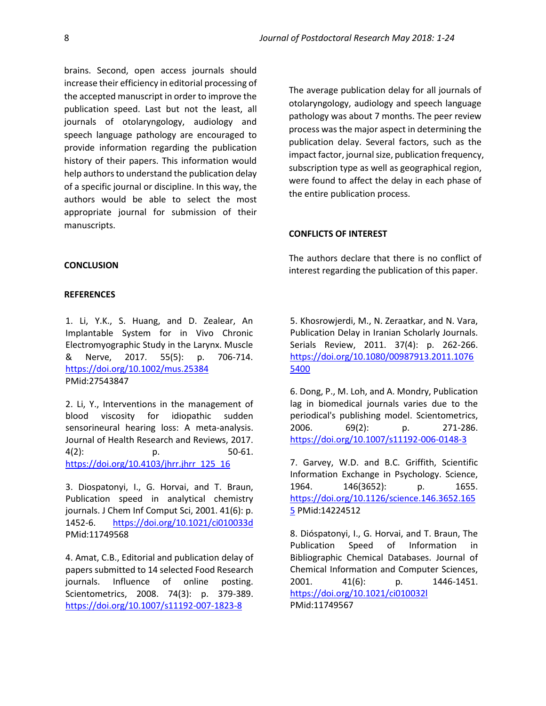brains. Second, open access journals should increase their efficiency in editorial processing of the accepted manuscript in order to improve the publication speed. Last but not the least, all journals of otolaryngology, audiology and speech language pathology are encouraged to provide information regarding the publication history of their papers. This information would help authors to understand the publication delay of a specific journal or discipline. In this way, the authors would be able to select the most appropriate journal for submission of their manuscripts.

#### **CONCLUSION**

#### **REFERENCES**

1. Li, Y.K., S. Huang, and D. Zealear, An Implantable System for in Vivo Chronic Electromyographic Study in the Larynx. Muscle & Nerve, 2017. 55(5): p. 706-714. <https://doi.org/10.1002/mus.25384> PMid:27543847

2. Li, Y., Interventions in the management of blood viscosity for idiopathic sudden sensorineural hearing loss: A meta-analysis. Journal of Health Research and Reviews, 2017. 4(2): p. 50-61. [https://doi.org/10.4103/jhrr.jhrr\\_125\\_16](https://doi.org/10.4103/jhrr.jhrr_125_16)

3. Diospatonyi, I., G. Horvai, and T. Braun, Publication speed in analytical chemistry journals. J Chem Inf Comput Sci, 2001. 41(6): p. 1452-6. <https://doi.org/10.1021/ci010033d> PMid:11749568

4. Amat, C.B., Editorial and publication delay of papers submitted to 14 selected Food Research journals. Influence of online posting. Scientometrics, 2008. 74(3): p. 379-389. <https://doi.org/10.1007/s11192-007-1823-8>

The average publication delay for all journals of otolaryngology, audiology and speech language pathology was about 7 months. The peer review process was the major aspect in determining the publication delay. Several factors, such as the impact factor, journal size, publication frequency, subscription type as well as geographical region, were found to affect the delay in each phase of the entire publication process.

#### **CONFLICTS OF INTEREST**

The authors declare that there is no conflict of interest regarding the publication of this paper.

5. Khosrowjerdi, M., N. Zeraatkar, and N. Vara, Publication Delay in Iranian Scholarly Journals. Serials Review, 2011. 37(4): p. 262-266. [https://doi.org/10.1080/00987913.2011.1076](https://doi.org/10.1080/00987913.2011.10765400) [5400](https://doi.org/10.1080/00987913.2011.10765400)

6. Dong, P., M. Loh, and A. Mondry, Publication lag in biomedical journals varies due to the periodical's publishing model. Scientometrics, 2006. 69(2): p. 271-286. <https://doi.org/10.1007/s11192-006-0148-3>

7. Garvey, W.D. and B.C. Griffith, Scientific Information Exchange in Psychology. Science, 1964. 146(3652): p. 1655. [https://doi.org/10.1126/science.146.3652.165](https://doi.org/10.1126/science.146.3652.1655) [5](https://doi.org/10.1126/science.146.3652.1655) PMid:14224512

8. Dióspatonyi, I., G. Horvai, and T. Braun, The Publication Speed of Information in Bibliographic Chemical Databases. Journal of Chemical Information and Computer Sciences, 2001. 41(6): p. 1446-1451. <https://doi.org/10.1021/ci010032l> PMid:11749567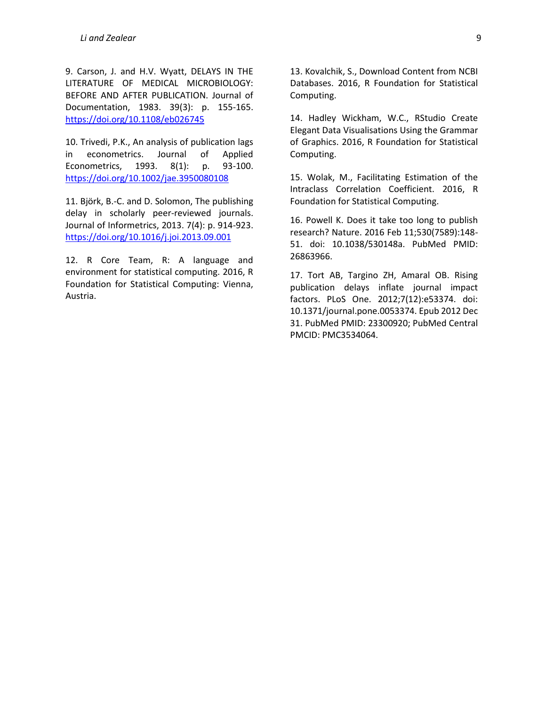9. Carson, J. and H.V. Wyatt, DELAYS IN THE LITERATURE OF MEDICAL MICROBIOLOGY: BEFORE AND AFTER PUBLICATION. Journal of Documentation, 1983. 39(3): p. 155-165. <https://doi.org/10.1108/eb026745>

10. Trivedi, P.K., An analysis of publication lags in econometrics. Journal of Applied Econometrics, 1993. 8(1): p. 93-100. <https://doi.org/10.1002/jae.3950080108>

11. Björk, B.-C. and D. Solomon, The publishing delay in scholarly peer-reviewed journals. Journal of Informetrics, 2013. 7(4): p. 914-923. <https://doi.org/10.1016/j.joi.2013.09.001>

12. R Core Team, R: A language and environment for statistical computing. 2016, R Foundation for Statistical Computing: Vienna, Austria.

13. Kovalchik, S., Download Content from NCBI Databases. 2016, R Foundation for Statistical Computing.

14. Hadley Wickham, W.C., RStudio Create Elegant Data Visualisations Using the Grammar of Graphics. 2016, R Foundation for Statistical Computing.

15. Wolak, M., Facilitating Estimation of the Intraclass Correlation Coefficient. 2016, R Foundation for Statistical Computing.

16. Powell K. Does it take too long to publish research? Nature. 2016 Feb 11;530(7589):148- 51. doi: 10.1038/530148a. PubMed PMID: 26863966.

17. Tort AB, Targino ZH, Amaral OB. Rising publication delays inflate journal impact factors. PLoS One. 2012;7(12):e53374. doi: 10.1371/journal.pone.0053374. Epub 2012 Dec 31. PubMed PMID: 23300920; PubMed Central PMCID: PMC3534064.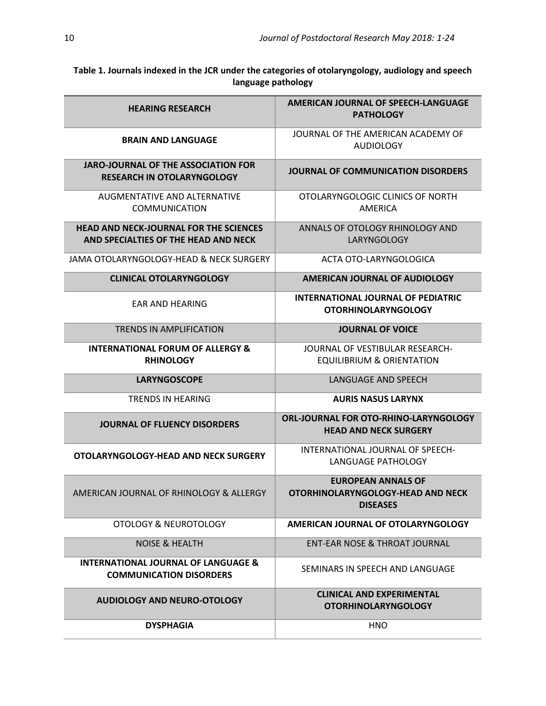**Table 1. Journals indexed in the JCR under the categories of otolaryngology, audiology and speech language pathology**

| <b>HEARING RESEARCH</b>                                                               | <b>AMERICAN JOURNAL OF SPEECH-LANGUAGE</b><br><b>PATHOLOGY</b>                    |  |  |  |
|---------------------------------------------------------------------------------------|-----------------------------------------------------------------------------------|--|--|--|
| <b>BRAIN AND LANGUAGE</b>                                                             | JOURNAL OF THE AMERICAN ACADEMY OF<br><b>AUDIOLOGY</b>                            |  |  |  |
| <b>JARO-JOURNAL OF THE ASSOCIATION FOR</b><br><b>RESEARCH IN OTOLARYNGOLOGY</b>       | JOURNAL OF COMMUNICATION DISORDERS                                                |  |  |  |
| AUGMENTATIVE AND ALTERNATIVE<br><b>COMMUNICATION</b>                                  | OTOLARYNGOLOGIC CLINICS OF NORTH<br>AMERICA                                       |  |  |  |
| <b>HEAD AND NECK-JOURNAL FOR THE SCIENCES</b><br>AND SPECIALTIES OF THE HEAD AND NECK | ANNALS OF OTOLOGY RHINOLOGY AND<br>LARYNGOLOGY                                    |  |  |  |
| JAMA OTOLARYNGOLOGY-HEAD & NECK SURGERY                                               | ACTA OTO-LARYNGOLOGICA                                                            |  |  |  |
| <b>CLINICAL OTOLARYNGOLOGY</b>                                                        | <b>AMERICAN JOURNAL OF AUDIOLOGY</b>                                              |  |  |  |
| <b>FAR AND HEARING</b>                                                                | <b>INTERNATIONAL JOURNAL OF PEDIATRIC</b><br><b>OTORHINOLARYNGOLOGY</b>           |  |  |  |
| <b>TRENDS IN AMPLIFICATION</b>                                                        | <b>JOURNAL OF VOICE</b>                                                           |  |  |  |
| <b>INTERNATIONAL FORUM OF ALLERGY &amp;</b><br><b>RHINOLOGY</b>                       | JOURNAL OF VESTIBULAR RESEARCH-<br><b>EQUILIBRIUM &amp; ORIENTATION</b>           |  |  |  |
| <b>LARYNGOSCOPE</b>                                                                   | <b>LANGUAGE AND SPEECH</b>                                                        |  |  |  |
| TRENDS IN HEARING                                                                     | <b>AURIS NASUS LARYNX</b>                                                         |  |  |  |
| <b>JOURNAL OF FLUENCY DISORDERS</b>                                                   | <b>ORL-JOURNAL FOR OTO-RHINO-LARYNGOLOGY</b><br><b>HEAD AND NECK SURGERY</b>      |  |  |  |
| OTOLARYNGOLOGY-HEAD AND NECK SURGERY                                                  | INTERNATIONAL JOURNAL OF SPEECH-<br>LANGUAGE PATHOLOGY                            |  |  |  |
| AMERICAN JOURNAL OF RHINOLOGY & ALLERGY                                               | <b>EUROPEAN ANNALS OF</b><br>OTORHINOLARYNGOLOGY-HEAD AND NECK<br><b>DISEASES</b> |  |  |  |
| OTOLOGY & NEUROTOLOGY                                                                 | AMERICAN JOURNAL OF OTOLARYNGOLOGY                                                |  |  |  |
| <b>NOISE &amp; HEALTH</b>                                                             | <b>ENT-EAR NOSE &amp; THROAT JOURNAL</b>                                          |  |  |  |
| <b>INTERNATIONAL JOURNAL OF LANGUAGE &amp;</b><br><b>COMMUNICATION DISORDERS</b>      | SEMINARS IN SPEECH AND LANGUAGE                                                   |  |  |  |
| <b>AUDIOLOGY AND NEURO-OTOLOGY</b>                                                    | <b>CLINICAL AND EXPERIMENTAL</b><br><b>OTORHINOLARYNGOLOGY</b>                    |  |  |  |
| <b>DYSPHAGIA</b>                                                                      | <b>HNO</b>                                                                        |  |  |  |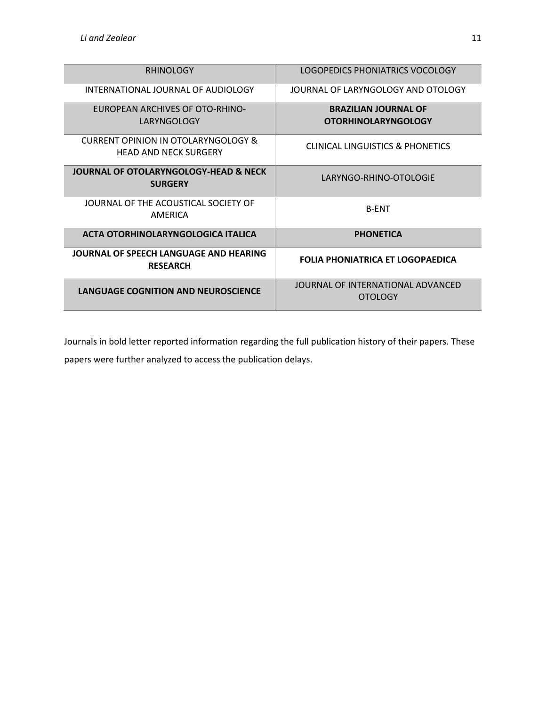| <b>RHINOLOGY</b>                                             | LOGOPEDICS PHONIATRICS VOCOLOGY                           |
|--------------------------------------------------------------|-----------------------------------------------------------|
| INTERNATIONAL IOURNAL OF AUDIOLOGY                           | JOURNAL OF LARYNGOLOGY AND OTOLOGY                        |
| EUROPEAN ARCHIVES OF OTO-RHINO-<br>LARYNGOLOGY               | <b>BRAZILIAN JOURNAL OF</b><br><b>OTORHINOLARYNGOLOGY</b> |
| CURRENT OPINION IN OTOLARYNGOLOGY &<br>HEAD AND NECK SURGERY | CLINICAL LINGUISTICS & PHONETICS                          |
| JOURNAL OF OTOLARYNGOLOGY-HEAD & NECK<br><b>SURGERY</b>      | LARYNGO-RHINO-OTOLOGIE                                    |
| JOURNAL OF THE ACOUSTICAL SOCIETY OF<br>AMFRICA              | <b>B-ENT</b>                                              |
| ACTA OTORHINOLARYNGOLOGICA ITALICA                           | <b>PHONETICA</b>                                          |
| JOURNAL OF SPEECH LANGUAGE AND HEARING<br><b>RESEARCH</b>    | <b>FOLIA PHONIATRICA ET LOGOPAEDICA</b>                   |
| <b>LANGUAGE COGNITION AND NEUROSCIENCE</b>                   | JOURNAL OF INTERNATIONAL ADVANCED<br><b>OTOLOGY</b>       |

Journals in bold letter reported information regarding the full publication history of their papers. These papers were further analyzed to access the publication delays.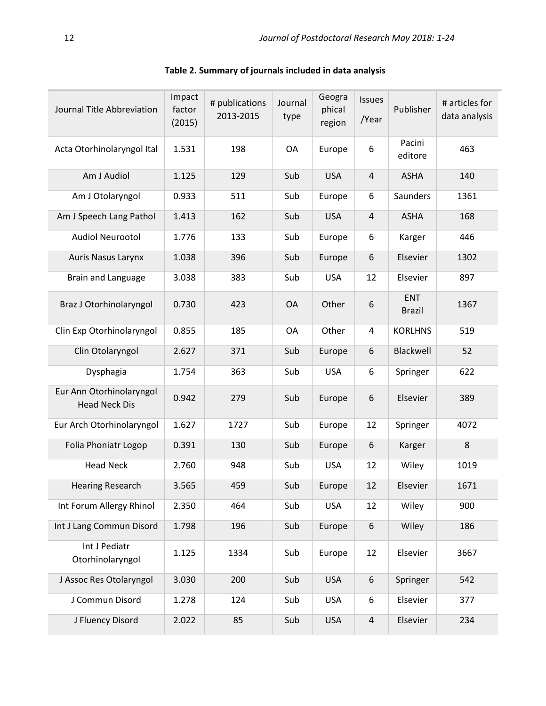| Journal Title Abbreviation                       | Impact<br>factor<br>(2015) | # publications<br>2013-2015 | Journal<br>type | Geogra<br>phical<br>region | Issues<br>/Year | Publisher                   | # articles for<br>data analysis |
|--------------------------------------------------|----------------------------|-----------------------------|-----------------|----------------------------|-----------------|-----------------------------|---------------------------------|
| Acta Otorhinolaryngol Ital                       | 1.531                      | 198                         | OA              | Europe                     | 6               | Pacini<br>editore           | 463                             |
| Am J Audiol                                      | 1.125                      | 129                         | Sub             | <b>USA</b>                 | $\overline{4}$  | <b>ASHA</b>                 | 140                             |
| Am J Otolaryngol                                 | 0.933                      | 511                         | Sub             | Europe                     | 6               | Saunders                    | 1361                            |
| Am J Speech Lang Pathol                          | 1.413                      | 162                         | Sub             | <b>USA</b>                 | 4               | <b>ASHA</b>                 | 168                             |
| <b>Audiol Neurootol</b>                          | 1.776                      | 133                         | Sub             | Europe                     | 6               | Karger                      | 446                             |
| <b>Auris Nasus Larynx</b>                        | 1.038                      | 396                         | Sub             | Europe                     | 6               | Elsevier                    | 1302                            |
| Brain and Language                               | 3.038                      | 383                         | Sub             | <b>USA</b>                 | 12              | Elsevier                    | 897                             |
| Braz J Otorhinolaryngol                          | 0.730                      | 423                         | <b>OA</b>       | Other                      | 6               | <b>ENT</b><br><b>Brazil</b> | 1367                            |
| Clin Exp Otorhinolaryngol                        | 0.855                      | 185                         | OA              | Other                      | 4               | <b>KORLHNS</b>              | 519                             |
| Clin Otolaryngol                                 | 2.627                      | 371                         | Sub             | Europe                     | 6               | Blackwell                   | 52                              |
| Dysphagia                                        | 1.754                      | 363                         | Sub             | <b>USA</b>                 | 6               | Springer                    | 622                             |
| Eur Ann Otorhinolaryngol<br><b>Head Neck Dis</b> | 0.942                      | 279                         | Sub             | Europe                     | 6               | Elsevier                    | 389                             |
| Eur Arch Otorhinolaryngol                        | 1.627                      | 1727                        | Sub             | Europe                     | 12              | Springer                    | 4072                            |
| Folia Phoniatr Logop                             | 0.391                      | 130                         | Sub             | Europe                     | 6               | Karger                      | 8                               |
| <b>Head Neck</b>                                 | 2.760                      | 948                         | Sub             | <b>USA</b>                 | 12              | Wiley                       | 1019                            |
| <b>Hearing Research</b>                          | 3.565                      | 459                         | Sub             | Europe                     | 12              | Elsevier                    | 1671                            |
| Int Forum Allergy Rhinol                         | 2.350                      | 464                         | Sub             | <b>USA</b>                 | 12              | Wiley                       | 900                             |
| Int J Lang Commun Disord                         | 1.798                      | 196                         | Sub             | Europe                     | 6               | Wiley                       | 186                             |
| Int J Pediatr<br>Otorhinolaryngol                | 1.125                      | 1334                        | Sub             | Europe                     | 12              | Elsevier                    | 3667                            |
| J Assoc Res Otolaryngol                          | 3.030                      | 200                         | Sub             | <b>USA</b>                 | 6               | Springer                    | 542                             |
| J Commun Disord                                  | 1.278                      | 124                         | Sub             | <b>USA</b>                 | 6               | Elsevier                    | 377                             |
| J Fluency Disord                                 | 2.022                      | 85                          | Sub             | <b>USA</b>                 | $\sqrt{4}$      | Elsevier                    | 234                             |

**Table 2. Summary of journals included in data analysis**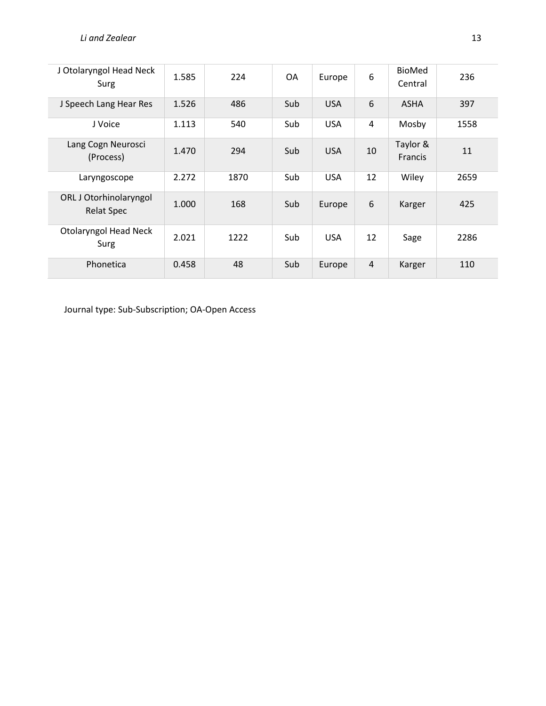| J Otolaryngol Head Neck<br>Surg             | 1.585 | 224  | 0A  | Europe     | 6              | <b>BioMed</b><br>Central | 236  |
|---------------------------------------------|-------|------|-----|------------|----------------|--------------------------|------|
| J Speech Lang Hear Res                      | 1.526 | 486  | Sub | <b>USA</b> | 6              | <b>ASHA</b>              | 397  |
| J Voice                                     | 1.113 | 540  | Sub | <b>USA</b> | $\overline{4}$ | Mosby                    | 1558 |
| Lang Cogn Neurosci<br>(Process)             | 1.470 | 294  | Sub | <b>USA</b> | 10             | Taylor &<br>Francis      | 11   |
| Laryngoscope                                | 2.272 | 1870 | Sub | <b>USA</b> | 12             | Wiley                    | 2659 |
| ORL J Otorhinolaryngol<br><b>Relat Spec</b> | 1.000 | 168  | Sub | Europe     | 6              | Karger                   | 425  |
| <b>Otolaryngol Head Neck</b><br>Surg        | 2.021 | 1222 | Sub | <b>USA</b> | 12             | Sage                     | 2286 |
| Phonetica                                   | 0.458 | 48   | Sub | Europe     | $\overline{4}$ | Karger                   | 110  |

Journal type: Sub-Subscription; OA-Open Access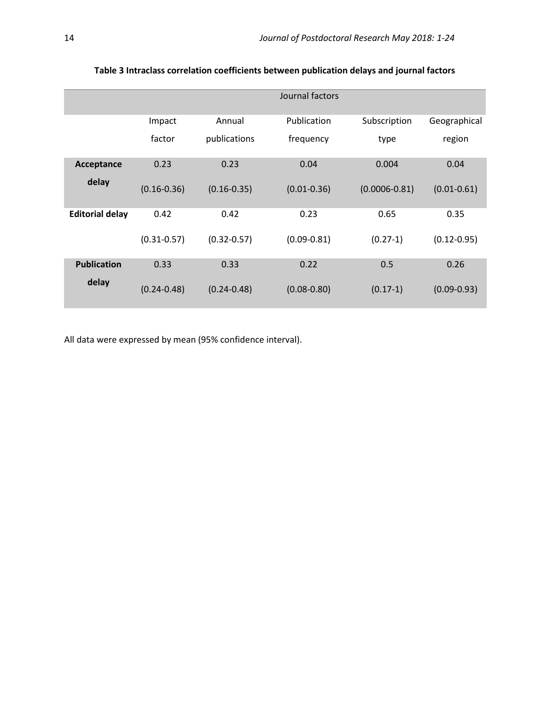|                        |                 |                 | Journal factors |                   |                 |
|------------------------|-----------------|-----------------|-----------------|-------------------|-----------------|
|                        | Impact          | Annual          | Publication     | Subscription      | Geographical    |
|                        | factor          | publications    | frequency       | type              | region          |
| Acceptance             | 0.23            | 0.23            | 0.04            | 0.004             | 0.04            |
| delay                  | $(0.16 - 0.36)$ | $(0.16 - 0.35)$ | $(0.01 - 0.36)$ | $(0.0006 - 0.81)$ | $(0.01 - 0.61)$ |
| <b>Editorial delay</b> | 0.42            | 0.42            | 0.23            | 0.65              | 0.35            |
|                        | $(0.31 - 0.57)$ | $(0.32 - 0.57)$ | $(0.09 - 0.81)$ | $(0.27-1)$        | $(0.12 - 0.95)$ |
| <b>Publication</b>     | 0.33            | 0.33            | 0.22            | 0.5               | 0.26            |
| delay                  | $(0.24 - 0.48)$ | $(0.24 - 0.48)$ | $(0.08 - 0.80)$ | $(0.17-1)$        | $(0.09 - 0.93)$ |

# **Table 3 Intraclass correlation coefficients between publication delays and journal factors**

All data were expressed by mean (95% confidence interval).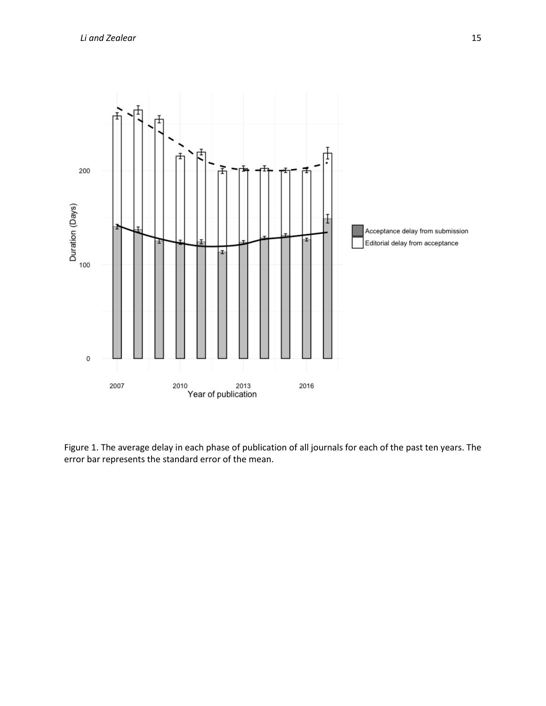

Figure 1. The average delay in each phase of publication of all journals for each of the past ten years. The error bar represents the standard error of the mean.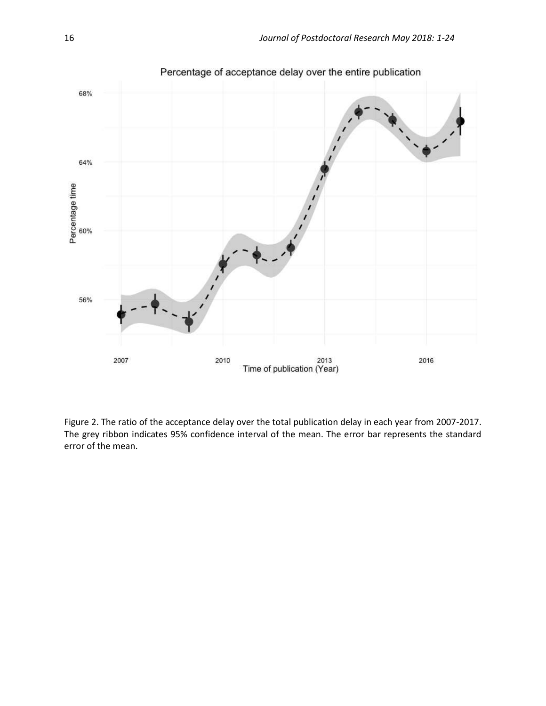

Figure 2. The ratio of the acceptance delay over the total publication delay in each year from 2007-2017. The grey ribbon indicates 95% confidence interval of the mean. The error bar represents the standard error of the mean.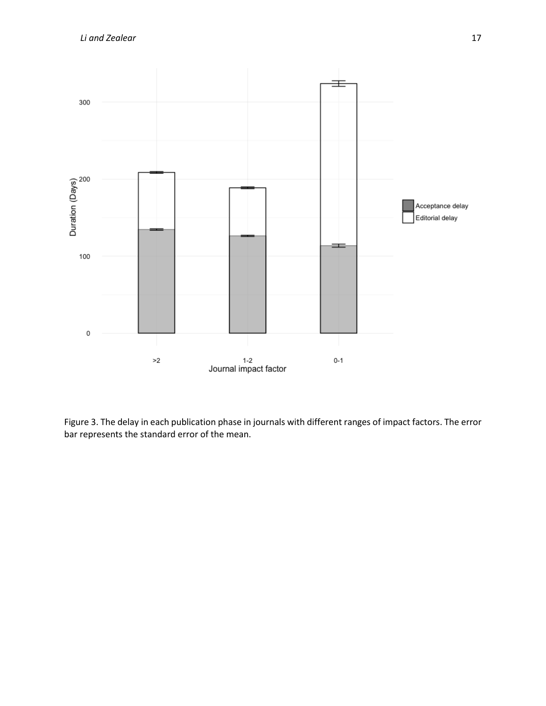

Figure 3. The delay in each publication phase in journals with different ranges of impact factors. The error bar represents the standard error of the mean.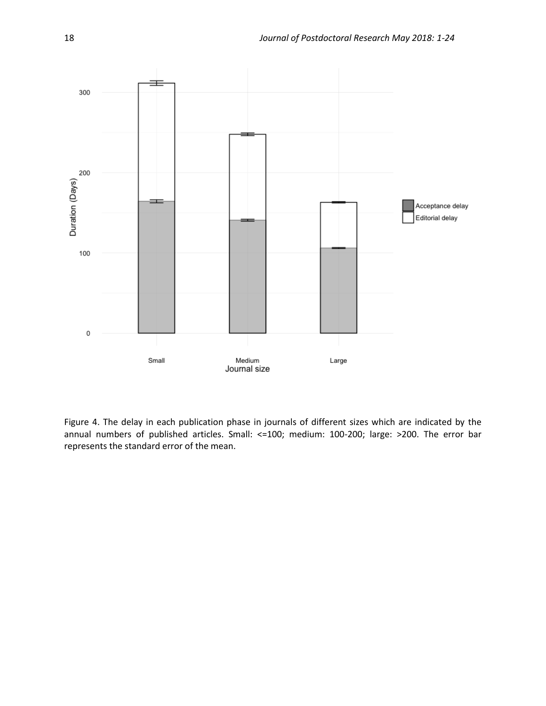

Figure 4. The delay in each publication phase in journals of different sizes which are indicated by the annual numbers of published articles. Small: <=100; medium: 100-200; large: >200. The error bar represents the standard error of the mean.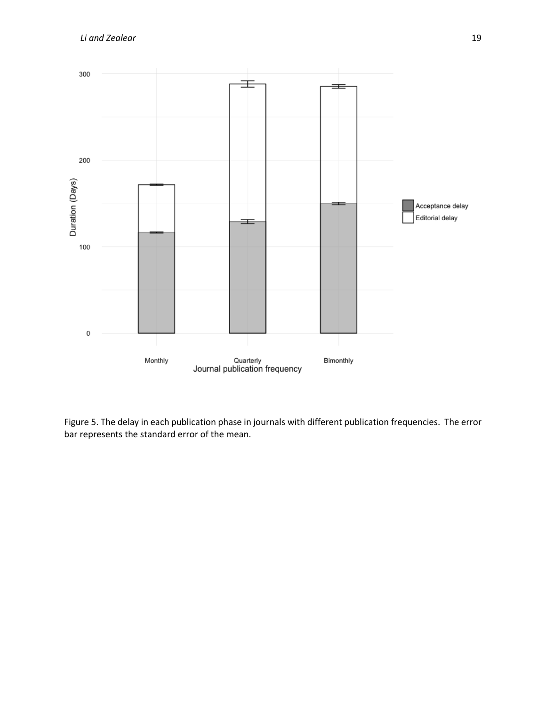

Figure 5. The delay in each publication phase in journals with different publication frequencies. The error bar represents the standard error of the mean.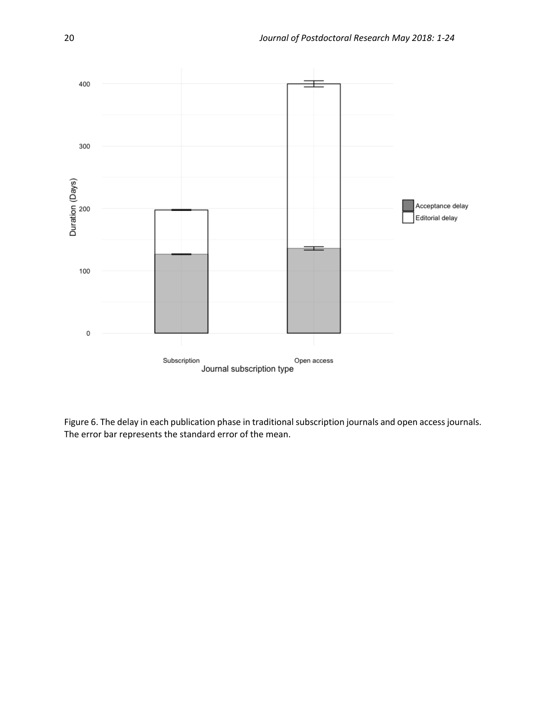

Figure 6. The delay in each publication phase in traditional subscription journals and open access journals. The error bar represents the standard error of the mean.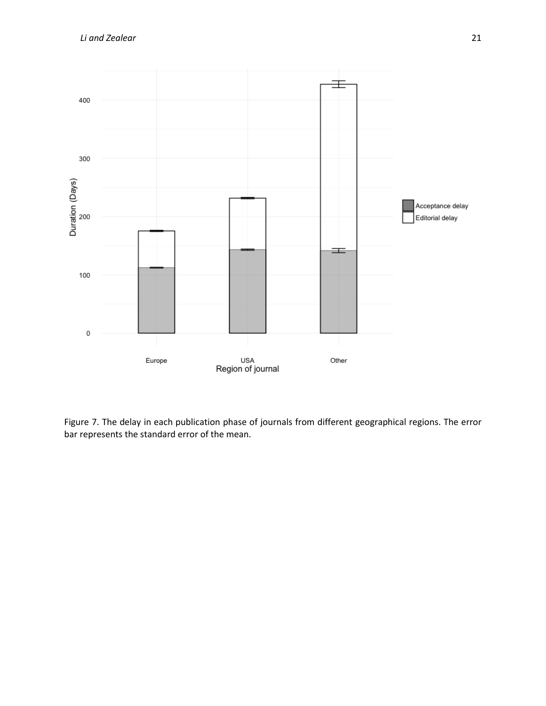

Figure 7. The delay in each publication phase of journals from different geographical regions. The error bar represents the standard error of the mean.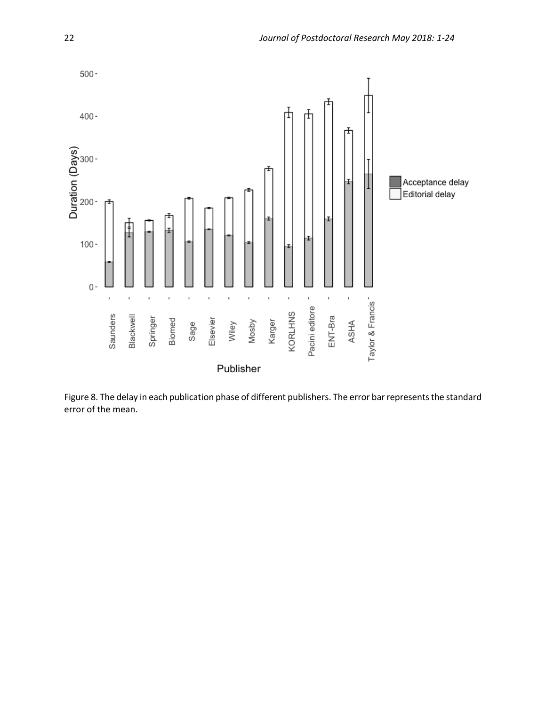

Figure 8. The delay in each publication phase of different publishers. The error bar represents the standard error of the mean.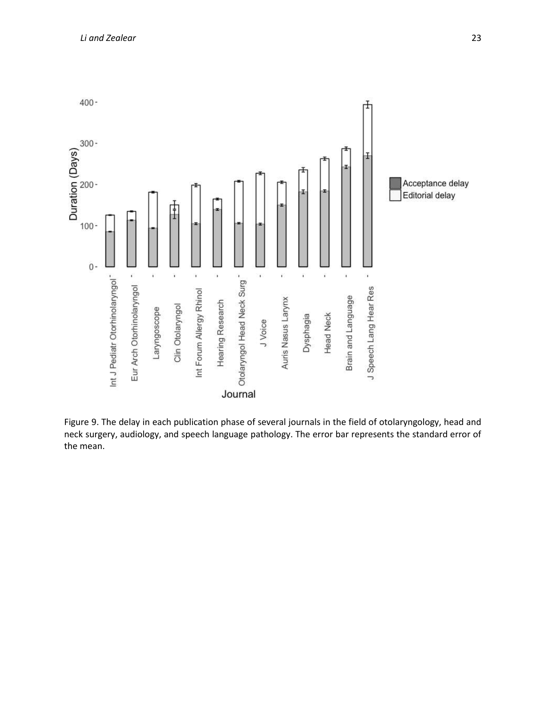

Figure 9. The delay in each publication phase of several journals in the field of otolaryngology, head and neck surgery, audiology, and speech language pathology. The error bar represents the standard error of the mean.